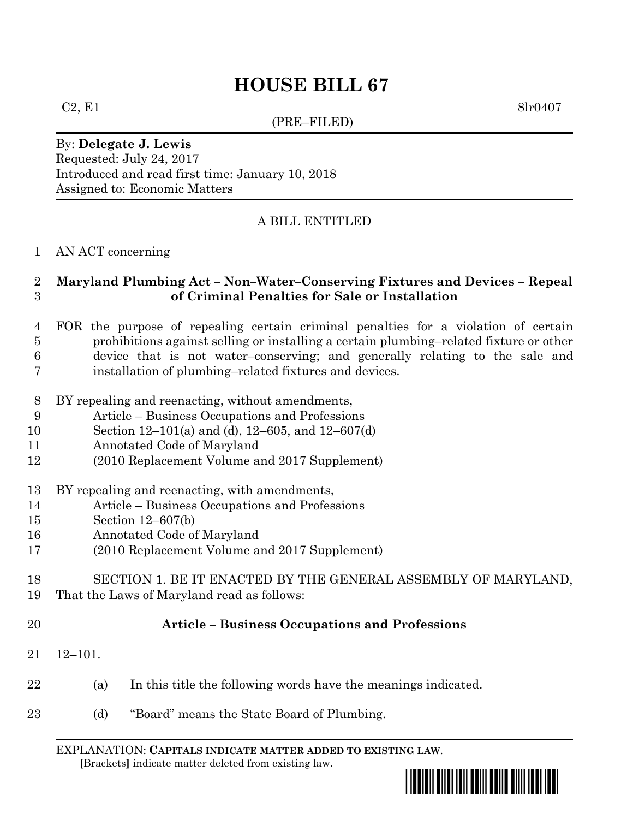# **HOUSE BILL 67**

(PRE–FILED)

 $C2, E1$  8lr0407

By: **Delegate J. Lewis** Requested: July 24, 2017 Introduced and read first time: January 10, 2018 Assigned to: Economic Matters

## A BILL ENTITLED

### AN ACT concerning

## **Maryland Plumbing Act – Non–Water–Conserving Fixtures and Devices – Repeal of Criminal Penalties for Sale or Installation**

- FOR the purpose of repealing certain criminal penalties for a violation of certain prohibitions against selling or installing a certain plumbing–related fixture or other device that is not water–conserving; and generally relating to the sale and installation of plumbing–related fixtures and devices.
- BY repealing and reenacting, without amendments,
- Article Business Occupations and Professions
- Section 12–101(a) and (d), 12–605, and 12–607(d)
- Annotated Code of Maryland
- (2010 Replacement Volume and 2017 Supplement)
- BY repealing and reenacting, with amendments,
- Article Business Occupations and Professions
- Section 12–607(b)
- Annotated Code of Maryland
- (2010 Replacement Volume and 2017 Supplement)
- SECTION 1. BE IT ENACTED BY THE GENERAL ASSEMBLY OF MARYLAND,
- That the Laws of Maryland read as follows:
- 

## **Article – Business Occupations and Professions**

- 12–101.
- (a) In this title the following words have the meanings indicated.
- (d) "Board" means the State Board of Plumbing.

EXPLANATION: **CAPITALS INDICATE MATTER ADDED TO EXISTING LAW**.  **[**Brackets**]** indicate matter deleted from existing law.

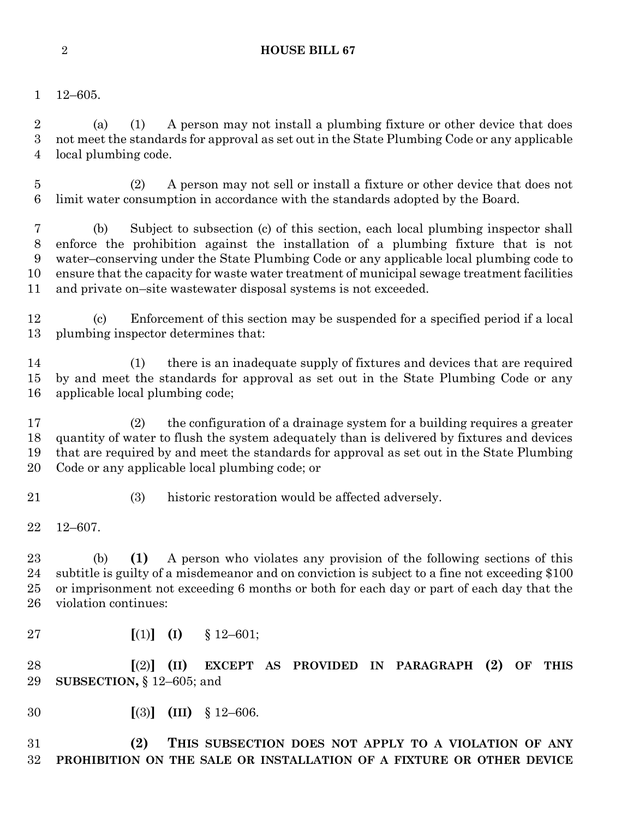### **HOUSE BILL 67**

12–605.

 (a) (1) A person may not install a plumbing fixture or other device that does not meet the standards for approval as set out in the State Plumbing Code or any applicable local plumbing code.

 (2) A person may not sell or install a fixture or other device that does not limit water consumption in accordance with the standards adopted by the Board.

 (b) Subject to subsection (c) of this section, each local plumbing inspector shall enforce the prohibition against the installation of a plumbing fixture that is not water–conserving under the State Plumbing Code or any applicable local plumbing code to ensure that the capacity for waste water treatment of municipal sewage treatment facilities and private on–site wastewater disposal systems is not exceeded.

 (c) Enforcement of this section may be suspended for a specified period if a local plumbing inspector determines that:

 (1) there is an inadequate supply of fixtures and devices that are required by and meet the standards for approval as set out in the State Plumbing Code or any applicable local plumbing code;

 (2) the configuration of a drainage system for a building requires a greater quantity of water to flush the system adequately than is delivered by fixtures and devices that are required by and meet the standards for approval as set out in the State Plumbing Code or any applicable local plumbing code; or

(3) historic restoration would be affected adversely.

12–607.

 (b) **(1)** A person who violates any provision of the following sections of this subtitle is guilty of a misdemeanor and on conviction is subject to a fine not exceeding \$100 or imprisonment not exceeding 6 months or both for each day or part of each day that the violation continues:

**[**(1)**] (I)** § 12–601;

 **[**(2)**] (II) EXCEPT AS PROVIDED IN PARAGRAPH (2) OF THIS SUBSECTION,** § 12–605; and

**[**(3)**] (III)** § 12–606.

 **(2) THIS SUBSECTION DOES NOT APPLY TO A VIOLATION OF ANY PROHIBITION ON THE SALE OR INSTALLATION OF A FIXTURE OR OTHER DEVICE**